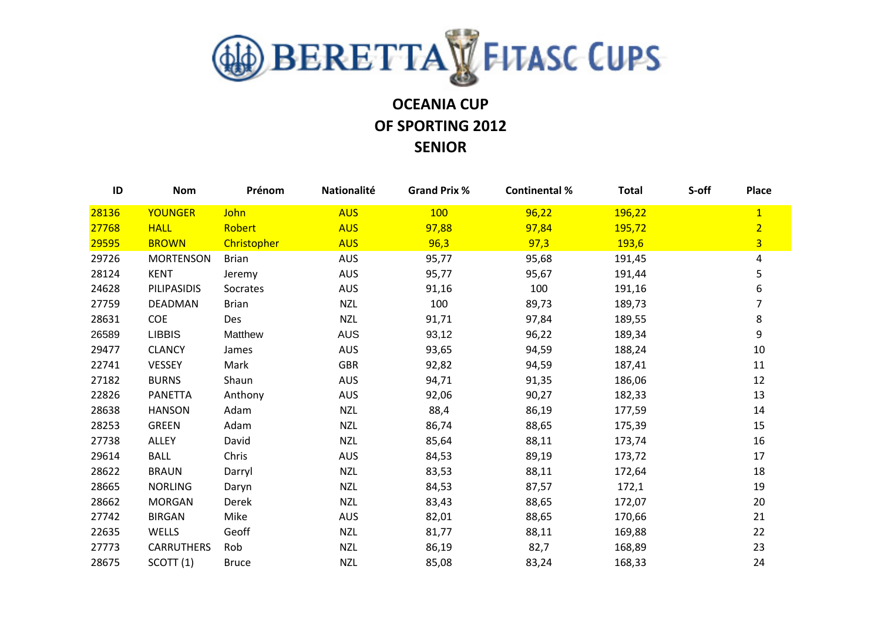

## **OCEANIA CUP OF SPORTING 2012 SENIOR**

| ID    | <b>Nom</b>           | Prénom             | Nationalité | <b>Grand Prix %</b> | <b>Continental %</b> | <b>Total</b> | S-off | Place          |
|-------|----------------------|--------------------|-------------|---------------------|----------------------|--------------|-------|----------------|
| 28136 | <b>YOUNGER</b>       | John               | <b>AUS</b>  | 100                 | 96,22                | 196,22       |       | $\overline{1}$ |
| 27768 | <b>HALL</b>          | Robert             | <b>AUS</b>  | 97,88               | 97,84                | 195,72       |       | $\overline{2}$ |
| 29595 | <b>BROWN</b>         | <b>Christopher</b> | <b>AUS</b>  | 96,3                | 97,3                 | 193,6        |       | $\overline{3}$ |
| 29726 | <b>MORTENSON</b>     | <b>Brian</b>       | <b>AUS</b>  | 95,77               | 95,68                | 191,45       |       | 4              |
| 28124 | <b>KENT</b>          | Jeremy             | <b>AUS</b>  | 95,77               | 95,67                | 191,44       |       | 5              |
| 24628 | <b>PILIPASIDIS</b>   | Socrates           | <b>AUS</b>  | 91,16               | 100                  | 191,16       |       | 6              |
| 27759 | <b>DEADMAN</b>       | <b>Brian</b>       | <b>NZL</b>  | 100                 | 89,73                | 189,73       |       | 7              |
| 28631 | COE                  | Des                | <b>NZL</b>  | 91,71               | 97,84                | 189,55       |       | 8              |
| 26589 | <b>LIBBIS</b>        | Matthew            | <b>AUS</b>  | 93,12               | 96,22                | 189,34       |       | 9              |
| 29477 | <b>CLANCY</b>        | James              | <b>AUS</b>  | 93,65               | 94,59                | 188,24       |       | $10\,$         |
| 22741 | VESSEY               | Mark               | <b>GBR</b>  | 92,82               | 94,59                | 187,41       |       | 11             |
| 27182 | <b>BURNS</b>         | Shaun              | <b>AUS</b>  | 94,71               | 91,35                | 186,06       |       | 12             |
| 22826 | <b>PANETTA</b>       | Anthony            | <b>AUS</b>  | 92,06               | 90,27                | 182,33       |       | 13             |
| 28638 | <b>HANSON</b>        | Adam               | <b>NZL</b>  | 88,4                | 86,19                | 177,59       |       | 14             |
| 28253 | <b>GREEN</b>         | Adam               | <b>NZL</b>  | 86,74               | 88,65                | 175,39       |       | 15             |
| 27738 | <b>ALLEY</b>         | David              | <b>NZL</b>  | 85,64               | 88,11                | 173,74       |       | 16             |
| 29614 | <b>BALL</b>          | Chris              | <b>AUS</b>  | 84,53               | 89,19                | 173,72       |       | 17             |
| 28622 | <b>BRAUN</b>         | Darryl             | <b>NZL</b>  | 83,53               | 88,11                | 172,64       |       | 18             |
| 28665 | <b>NORLING</b>       | Daryn              | <b>NZL</b>  | 84,53               | 87,57                | 172,1        |       | 19             |
| 28662 | <b>MORGAN</b>        | Derek              | <b>NZL</b>  | 83,43               | 88,65                | 172,07       |       | 20             |
| 27742 | <b>BIRGAN</b>        | Mike               | <b>AUS</b>  | 82,01               | 88,65                | 170,66       |       | 21             |
| 22635 | <b>WELLS</b>         | Geoff              | <b>NZL</b>  | 81,77               | 88,11                | 169,88       |       | 22             |
| 27773 | <b>CARRUTHERS</b>    | Rob                | <b>NZL</b>  | 86,19               | 82,7                 | 168,89       |       | 23             |
| 28675 | SCOTT <sub>(1)</sub> | <b>Bruce</b>       | <b>NZL</b>  | 85,08               | 83,24                | 168,33       |       | 24             |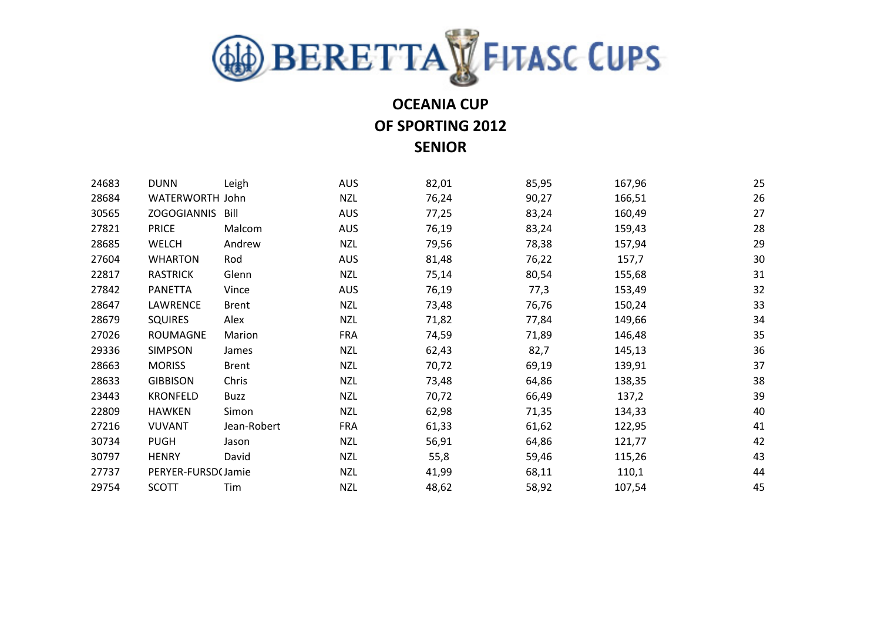

## **OCEANIA CUP OF SPORTING 2012**

**SENIOR**

| 24683 | <b>DUNN</b>        | Leigh        | <b>AUS</b> | 82,01 | 85,95 | 167,96 | 25 |
|-------|--------------------|--------------|------------|-------|-------|--------|----|
| 28684 | WATERWORTH John    |              | <b>NZL</b> | 76,24 | 90,27 | 166,51 | 26 |
| 30565 | <b>ZOGOGIANNIS</b> | Bill         | <b>AUS</b> | 77,25 | 83,24 | 160,49 | 27 |
| 27821 | <b>PRICE</b>       | Malcom       | <b>AUS</b> | 76,19 | 83,24 | 159,43 | 28 |
| 28685 | <b>WELCH</b>       | Andrew       | <b>NZL</b> | 79,56 | 78,38 | 157,94 | 29 |
| 27604 | <b>WHARTON</b>     | Rod          | <b>AUS</b> | 81,48 | 76,22 | 157,7  | 30 |
| 22817 | <b>RASTRICK</b>    | Glenn        | <b>NZL</b> | 75,14 | 80,54 | 155,68 | 31 |
| 27842 | <b>PANETTA</b>     | Vince        | <b>AUS</b> | 76,19 | 77,3  | 153,49 | 32 |
| 28647 | LAWRENCE           | <b>Brent</b> | <b>NZL</b> | 73,48 | 76,76 | 150,24 | 33 |
| 28679 | <b>SQUIRES</b>     | Alex         | <b>NZL</b> | 71,82 | 77,84 | 149,66 | 34 |
| 27026 | <b>ROUMAGNE</b>    | Marion       | <b>FRA</b> | 74,59 | 71,89 | 146,48 | 35 |
| 29336 | <b>SIMPSON</b>     | James        | <b>NZL</b> | 62,43 | 82,7  | 145,13 | 36 |
| 28663 | <b>MORISS</b>      | <b>Brent</b> | <b>NZL</b> | 70,72 | 69,19 | 139,91 | 37 |
| 28633 | <b>GIBBISON</b>    | Chris        | <b>NZL</b> | 73,48 | 64,86 | 138,35 | 38 |
| 23443 | <b>KRONFELD</b>    | <b>Buzz</b>  | <b>NZL</b> | 70,72 | 66,49 | 137,2  | 39 |
| 22809 | <b>HAWKEN</b>      | Simon        | <b>NZL</b> | 62,98 | 71,35 | 134,33 | 40 |
| 27216 | <b>VUVANT</b>      | Jean-Robert  | <b>FRA</b> | 61,33 | 61,62 | 122,95 | 41 |
| 30734 | <b>PUGH</b>        | Jason        | <b>NZL</b> | 56,91 | 64,86 | 121,77 | 42 |
| 30797 | <b>HENRY</b>       | David        | <b>NZL</b> | 55,8  | 59,46 | 115,26 | 43 |
| 27737 | PERYER-FURSD(Jamie |              | <b>NZL</b> | 41,99 | 68,11 | 110,1  | 44 |
| 29754 | <b>SCOTT</b>       | Tim          | <b>NZL</b> | 48,62 | 58,92 | 107,54 | 45 |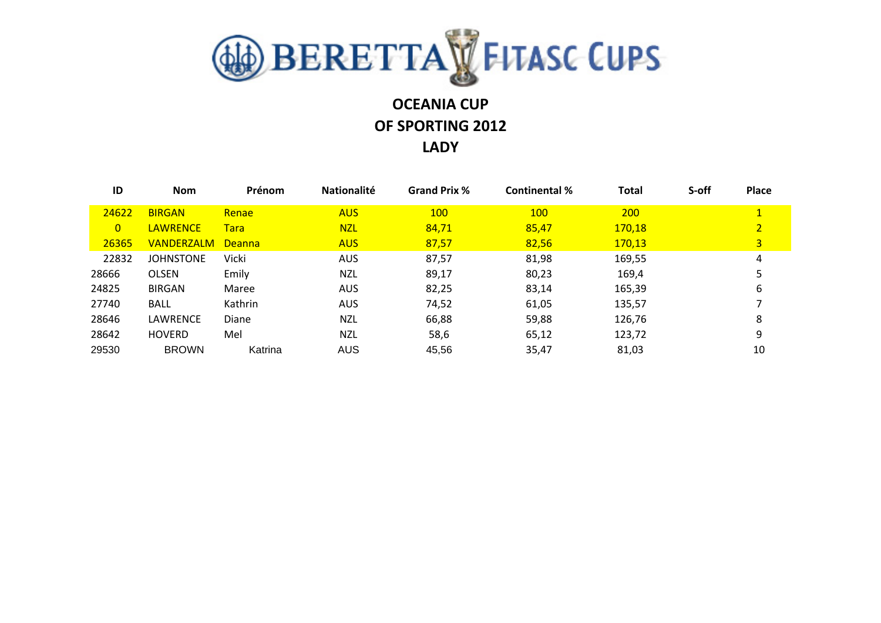

# **OCEANIA CUP OF SPORTING 2012**

#### **LADY**

| ID             | <b>Nom</b>        | Prénom        | <b>Nationalité</b> | <b>Grand Prix %</b> | <b>Continental %</b> | <b>Total</b> | S-off | Place          |
|----------------|-------------------|---------------|--------------------|---------------------|----------------------|--------------|-------|----------------|
| 24622          | <b>BIRGAN</b>     | Renae         | <b>AUS</b>         | <b>100</b>          | <b>100</b>           | <b>200</b>   |       | $\mathbf{1}$   |
| $\overline{0}$ | <b>LAWRENCE</b>   | <b>Tara</b>   | <b>NZL</b>         | 84,71               | 85,47                | 170,18       |       | $\overline{2}$ |
| 26365          | <b>VANDERZALM</b> | <b>Deanna</b> | <b>AUS</b>         | 87,57               | 82,56                | 170,13       |       | 3              |
| 22832          | <b>JOHNSTONE</b>  | Vicki         | <b>AUS</b>         | 87,57               | 81,98                | 169,55       |       | 4              |
| 28666          | <b>OLSEN</b>      | Emily         | NZL                | 89,17               | 80,23                | 169,4        |       |                |
| 24825          | <b>BIRGAN</b>     | Maree         | AUS.               | 82,25               | 83,14                | 165,39       |       | 6              |
| 27740          | BALL              | Kathrin       | AUS.               | 74,52               | 61,05                | 135,57       |       |                |
| 28646          | LAWRENCE          | Diane         | <b>NZL</b>         | 66,88               | 59,88                | 126,76       |       | 8              |
| 28642          | <b>HOVERD</b>     | Mel           | <b>NZL</b>         | 58,6                | 65,12                | 123,72       |       | 9              |
| 29530          | <b>BROWN</b>      | Katrina       | <b>AUS</b>         | 45,56               | 35,47                | 81,03        |       | 10             |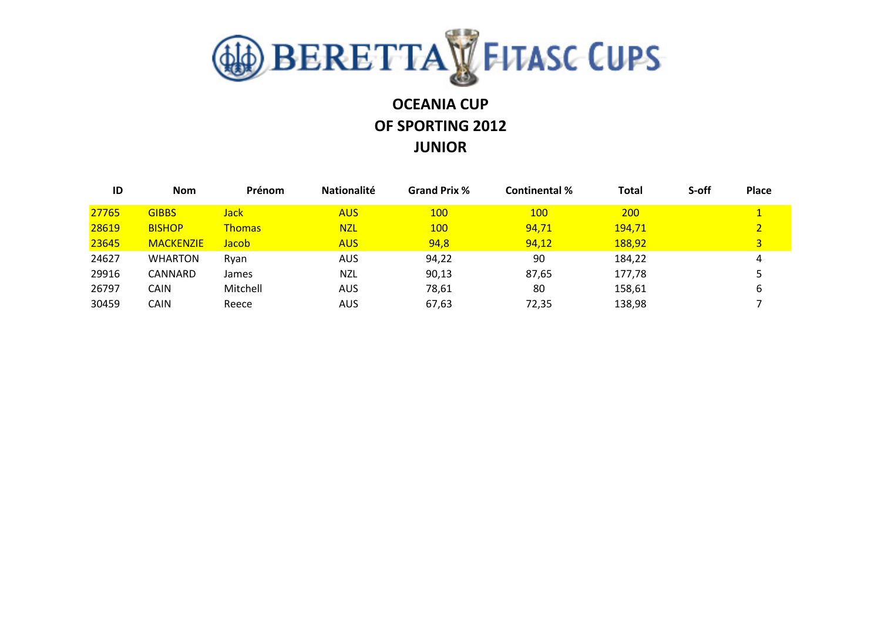

## **OCEANIA CUP OF SPORTING 2012 JUNIOR**

| ID    | <b>Nom</b>       | Prénom        | <b>Nationalité</b> | <b>Grand Prix %</b> | <b>Continental %</b> | <b>Total</b>  | S-off | Place |
|-------|------------------|---------------|--------------------|---------------------|----------------------|---------------|-------|-------|
| 27765 | <b>GIBBS</b>     | Jack          | <b>AUS</b>         | <b>100</b>          | <b>100</b>           | 200           |       |       |
| 28619 | <b>BISHOP</b>    | <b>Thomas</b> | <b>NZL</b>         | <b>100</b>          | 94,71                | <u>194,71</u> |       |       |
| 23645 | <b>MACKENZIE</b> | Jacob         | <b>AUS</b>         | 94,8                | 94,12                | 188,92        |       | 3     |
| 24627 | <b>WHARTON</b>   | Rvan          | AUS                | 94,22               | 90                   | 184,22        |       | 4     |
| 29916 | CANNARD          | James         | NZL                | 90,13               | 87,65                | 177,78        |       |       |
| 26797 | CAIN             | Mitchell      | AUS                | 78,61               | 80                   | 158,61        |       |       |
| 30459 | CAIN             | Reece         | AUS                | 67,63               | 72,35                | 138,98        |       |       |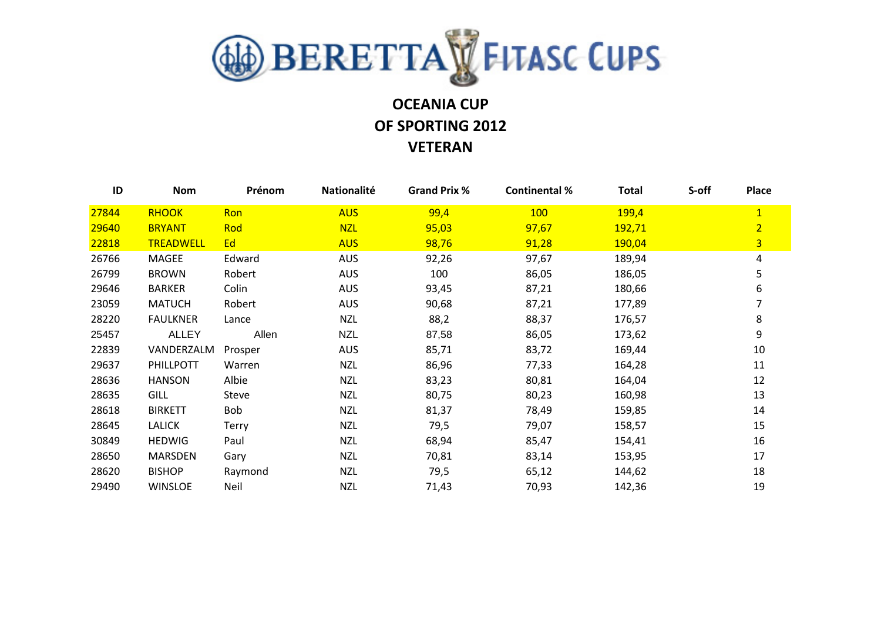

## **OCEANIA CUP OF SPORTING 2012 VETERAN**

| ID    | <b>Nom</b>       | Prénom       | Nationalité | <b>Grand Prix %</b> | <b>Continental %</b> | <b>Total</b> | S-off | Place          |
|-------|------------------|--------------|-------------|---------------------|----------------------|--------------|-------|----------------|
| 27844 | <b>RHOOK</b>     | Ron          | <b>AUS</b>  | 99,4                | 100                  | 199,4        |       | $\mathbf{1}$   |
| 29640 | <b>BRYANT</b>    | Rod          | <b>NZL</b>  | 95,03               | 97,67                | 192,71       |       | $\overline{2}$ |
| 22818 | <b>TREADWELL</b> | Ed           | <b>AUS</b>  | 98,76               | 91,28                | 190,04       |       | $\overline{3}$ |
| 26766 | MAGEE            | Edward       | <b>AUS</b>  | 92,26               | 97,67                | 189,94       |       | 4              |
| 26799 | <b>BROWN</b>     | Robert       | <b>AUS</b>  | 100                 | 86,05                | 186,05       |       | 5              |
| 29646 | <b>BARKER</b>    | Colin        | <b>AUS</b>  | 93,45               | 87,21                | 180,66       |       | 6              |
| 23059 | <b>MATUCH</b>    | Robert       | <b>AUS</b>  | 90,68               | 87,21                | 177,89       |       |                |
| 28220 | <b>FAULKNER</b>  | Lance        | <b>NZL</b>  | 88,2                | 88,37                | 176,57       |       | 8              |
| 25457 | <b>ALLEY</b>     | Allen        | <b>NZL</b>  | 87,58               | 86,05                | 173,62       |       | 9              |
| 22839 | VANDERZALM       | Prosper      | <b>AUS</b>  | 85,71               | 83,72                | 169,44       |       | 10             |
| 29637 | PHILLPOTT        | Warren       | <b>NZL</b>  | 86,96               | 77,33                | 164,28       |       | 11             |
| 28636 | <b>HANSON</b>    | Albie        | <b>NZL</b>  | 83,23               | 80,81                | 164,04       |       | 12             |
| 28635 | <b>GILL</b>      | <b>Steve</b> | <b>NZL</b>  | 80,75               | 80,23                | 160,98       |       | 13             |
| 28618 | <b>BIRKETT</b>   | Bob          | <b>NZL</b>  | 81,37               | 78,49                | 159,85       |       | 14             |
| 28645 | <b>LALICK</b>    | <b>Terry</b> | <b>NZL</b>  | 79,5                | 79,07                | 158,57       |       | 15             |
| 30849 | <b>HEDWIG</b>    | Paul         | <b>NZL</b>  | 68,94               | 85,47                | 154,41       |       | 16             |
| 28650 | <b>MARSDEN</b>   | Gary         | <b>NZL</b>  | 70,81               | 83,14                | 153,95       |       | 17             |
| 28620 | <b>BISHOP</b>    | Raymond      | <b>NZL</b>  | 79,5                | 65,12                | 144,62       |       | 18             |
| 29490 | <b>WINSLOE</b>   | Neil         | <b>NZL</b>  | 71,43               | 70,93                | 142,36       |       | 19             |